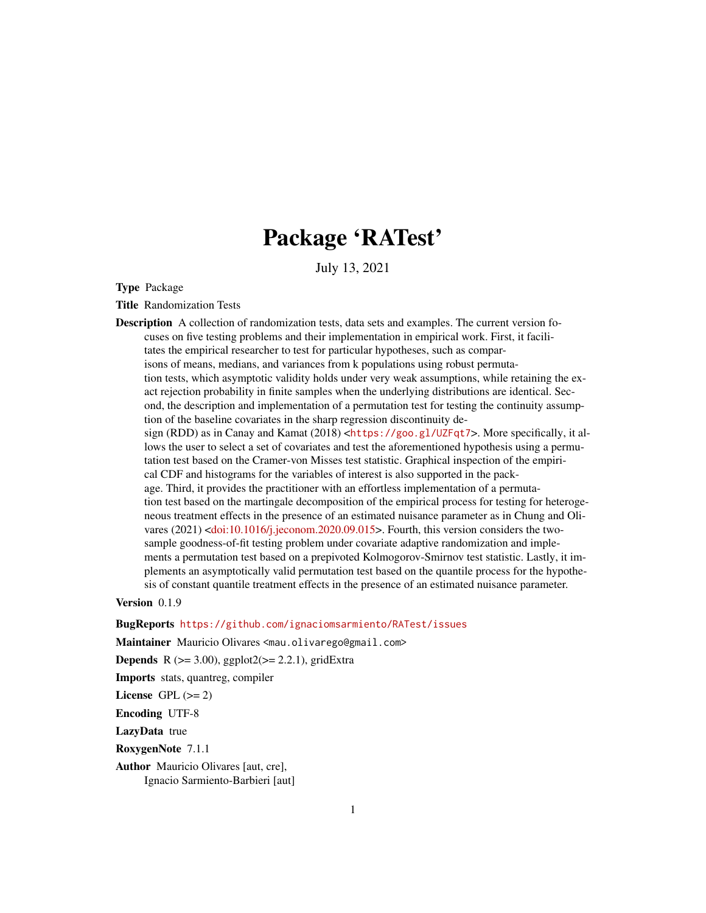# Package 'RATest'

July 13, 2021

<span id="page-0-0"></span>Type Package

Title Randomization Tests

Description A collection of randomization tests, data sets and examples. The current version focuses on five testing problems and their implementation in empirical work. First, it facilitates the empirical researcher to test for particular hypotheses, such as comparisons of means, medians, and variances from k populations using robust permutation tests, which asymptotic validity holds under very weak assumptions, while retaining the exact rejection probability in finite samples when the underlying distributions are identical. Second, the description and implementation of a permutation test for testing the continuity assumption of the baseline covariates in the sharp regression discontinuity design (RDD) as in Canay and Kamat (2018) <<https://goo.gl/UZFqt7>>. More specifically, it allows the user to select a set of covariates and test the aforementioned hypothesis using a permutation test based on the Cramer-von Misses test statistic. Graphical inspection of the empirical CDF and histograms for the variables of interest is also supported in the package. Third, it provides the practitioner with an effortless implementation of a permutation test based on the martingale decomposition of the empirical process for testing for heterogeneous treatment effects in the presence of an estimated nuisance parameter as in Chung and Olivares  $(2021)$  [<doi:10.1016/j.jeconom.2020.09.015>](https://doi.org/10.1016/j.jeconom.2020.09.015). Fourth, this version considers the twosample goodness-of-fit testing problem under covariate adaptive randomization and implements a permutation test based on a prepivoted Kolmogorov-Smirnov test statistic. Lastly, it implements an asymptotically valid permutation test based on the quantile process for the hypothesis of constant quantile treatment effects in the presence of an estimated nuisance parameter.

Version 0.1.9

BugReports <https://github.com/ignaciomsarmiento/RATest/issues>

Maintainer Mauricio Olivares <mau.olivarego@gmail.com>

**Depends** R  $(>= 3.00)$ , ggplot $2(>= 2.2.1)$ , gridExtra

Imports stats, quantreg, compiler

License GPL  $(>= 2)$ 

Encoding UTF-8

LazyData true

RoxygenNote 7.1.1

Author Mauricio Olivares [aut, cre], Ignacio Sarmiento-Barbieri [aut]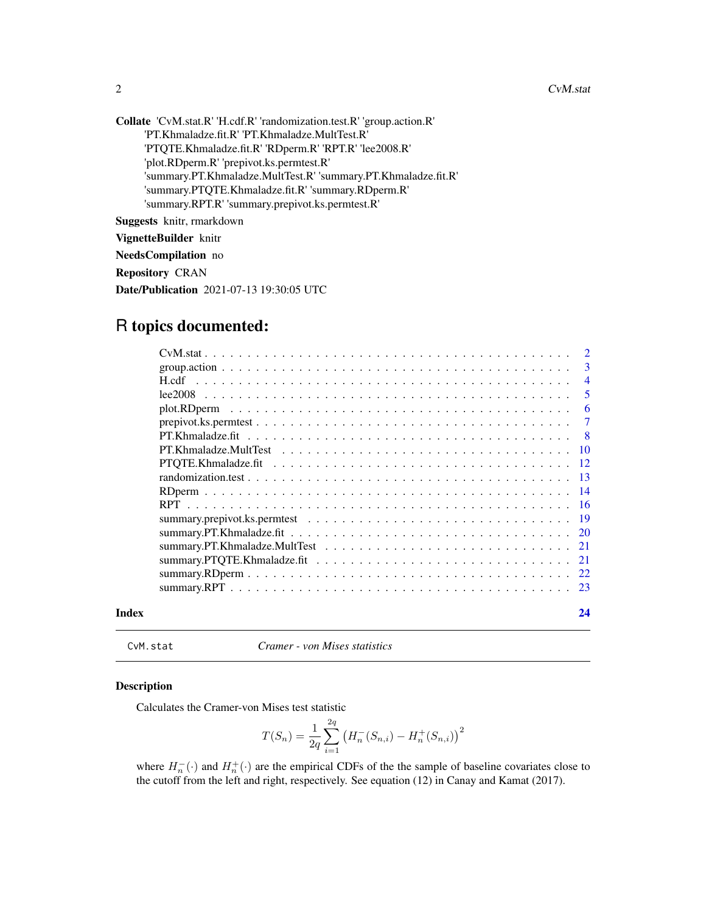<span id="page-1-0"></span>Collate 'CvM.stat.R' 'H.cdf.R' 'randomization.test.R' 'group.action.R' 'PT.Khmaladze.fit.R' 'PT.Khmaladze.MultTest.R' 'PTQTE.Khmaladze.fit.R' 'RDperm.R' 'RPT.R' 'lee2008.R' 'plot.RDperm.R' 'prepivot.ks.permtest.R' 'summary.PT.Khmaladze.MultTest.R' 'summary.PT.Khmaladze.fit.R' 'summary.PTQTE.Khmaladze.fit.R' 'summary.RDperm.R' 'summary.RPT.R' 'summary.prepivot.ks.permtest.R'

Suggests knitr, rmarkdown

VignetteBuilder knitr

NeedsCompilation no

Repository CRAN

Date/Publication 2021-07-13 19:30:05 UTC

## R topics documented:

|       |                                                                                                                        | $\overline{2}$ |
|-------|------------------------------------------------------------------------------------------------------------------------|----------------|
|       |                                                                                                                        | $\mathbf{3}$   |
|       | H.cdf<br>a constitution de la constitution de la constitution de la constitution de la constitution de la constitution | $\overline{4}$ |
|       |                                                                                                                        | -5             |
|       |                                                                                                                        | 6              |
|       | $prepivot.ks.perm test. \ldots \ldots \ldots \ldots \ldots \ldots \ldots \ldots \ldots \ldots \ldots \ldots \ldots$    | -7             |
|       |                                                                                                                        | $\overline{8}$ |
|       |                                                                                                                        |                |
|       |                                                                                                                        |                |
|       |                                                                                                                        |                |
|       |                                                                                                                        |                |
|       |                                                                                                                        |                |
|       |                                                                                                                        |                |
|       |                                                                                                                        |                |
|       |                                                                                                                        |                |
|       |                                                                                                                        |                |
|       |                                                                                                                        |                |
|       |                                                                                                                        |                |
| Index |                                                                                                                        | 24             |

CvM.stat *Cramer - von Mises statistics*

#### Description

Calculates the Cramer-von Mises test statistic

$$
T(S_n) = \frac{1}{2q} \sum_{i=1}^{2q} (H_n^-(S_{n,i}) - H_n^+(S_{n,i}))^2
$$

where  $H_n^-(·)$  and  $H_n^+(\cdot)$  are the empirical CDFs of the the sample of baseline covariates close to the cutoff from the left and right, respectively. See equation (12) in Canay and Kamat (2017).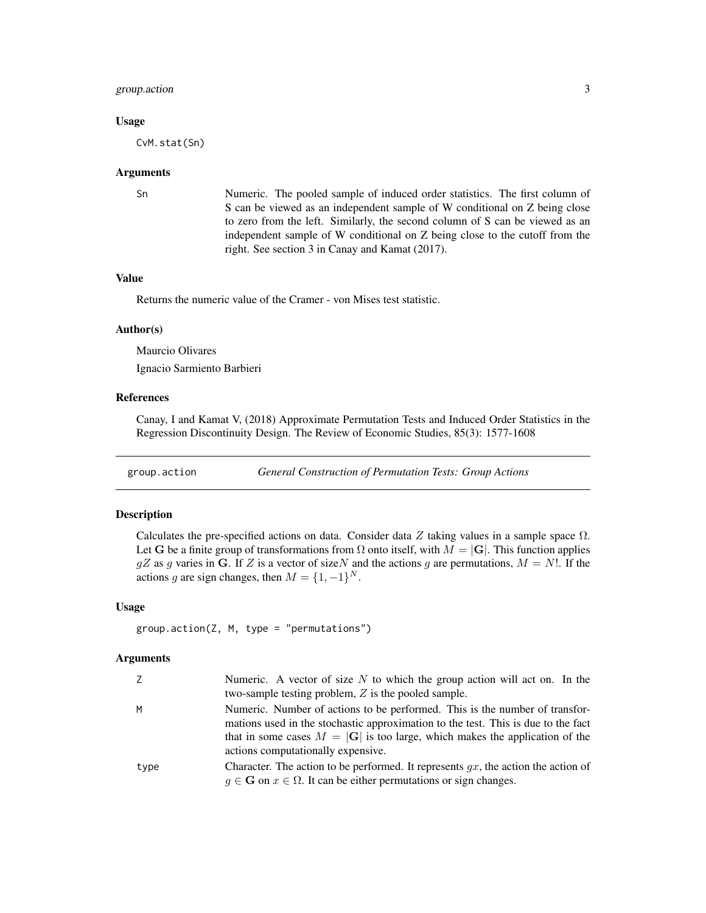#### <span id="page-2-0"></span>group.action 3

#### Usage

CvM.stat(Sn)

#### Arguments

Sn Numeric. The pooled sample of induced order statistics. The first column of S can be viewed as an independent sample of W conditional on Z being close to zero from the left. Similarly, the second column of S can be viewed as an independent sample of W conditional on Z being close to the cutoff from the right. See section 3 in Canay and Kamat (2017).

#### Value

Returns the numeric value of the Cramer - von Mises test statistic.

#### Author(s)

Maurcio Olivares Ignacio Sarmiento Barbieri

#### References

Canay, I and Kamat V, (2018) Approximate Permutation Tests and Induced Order Statistics in the Regression Discontinuity Design. The Review of Economic Studies, 85(3): 1577-1608

group.action *General Construction of Permutation Tests: Group Actions*

#### Description

Calculates the pre-specified actions on data. Consider data Z taking values in a sample space  $\Omega$ . Let G be a finite group of transformations from  $\Omega$  onto itself, with  $M = |G|$ . This function applies  $gZ$  as g varies in G. If Z is a vector of size N and the actions g are permutations,  $M = N!$ . If the actions g are sign changes, then  $M = \{1, -1\}^N$ .

#### Usage

group.action(Z, M, type = "permutations")

| Z.   | Numeric. A vector of size $N$ to which the group action will act on. In the                                                                                                                                                                                                             |
|------|-----------------------------------------------------------------------------------------------------------------------------------------------------------------------------------------------------------------------------------------------------------------------------------------|
|      | two-sample testing problem, $Z$ is the pooled sample.                                                                                                                                                                                                                                   |
| м    | Numeric. Number of actions to be performed. This is the number of transfor-<br>mations used in the stochastic approximation to the test. This is due to the fact<br>that in some cases $M =  G $ is too large, which makes the application of the<br>actions computationally expensive. |
|      |                                                                                                                                                                                                                                                                                         |
| type | Character. The action to be performed. It represents $gx$ , the action the action of                                                                                                                                                                                                    |
|      | $g \in \mathbf{G}$ on $x \in \Omega$ . It can be either permutations or sign changes.                                                                                                                                                                                                   |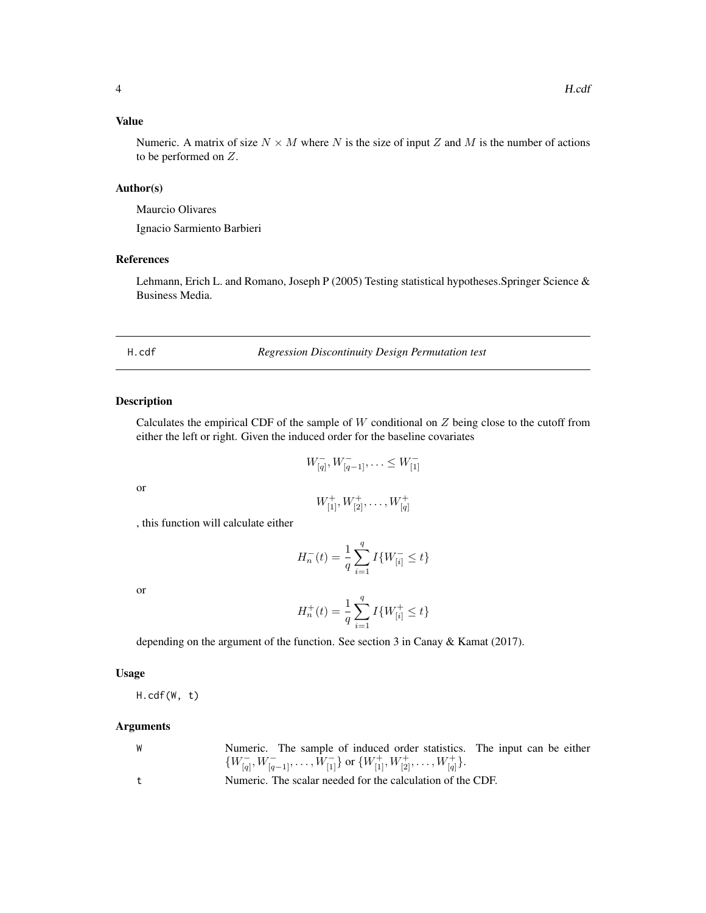#### <span id="page-3-0"></span>Value

Numeric. A matrix of size  $N \times M$  where N is the size of input Z and M is the number of actions to be performed on Z.

#### Author(s)

Maurcio Olivares

Ignacio Sarmiento Barbieri

#### References

Lehmann, Erich L. and Romano, Joseph P (2005) Testing statistical hypotheses.Springer Science & Business Media.

H.cdf *Regression Discontinuity Design Permutation test*

#### Description

Calculates the empirical CDF of the sample of  $W$  conditional on  $Z$  being close to the cutoff from either the left or right. Given the induced order for the baseline covariates

$$
W_{[q]}^-, W_{[q-1]}^-, \ldots \leq W_{[1]}^-
$$

or

$$
W^+_{[1]},W^+_{[2]},\ldots,W^+_{[q]}
$$

, this function will calculate either

$$
H_n^-(t) = \frac{1}{q} \sum_{i=1}^q I\{W^-_{[i]} \le t\}
$$

or

$$
H_n^+(t) = \frac{1}{q} \sum_{i=1}^q I\{W_{[i]}^+ \le t\}
$$

depending on the argument of the function. See section 3 in Canay & Kamat (2017).

#### Usage

H.cdf(W, t)

| <b>W</b> | Numeric. The sample of induced order statistics. The input can be either                          |  |
|----------|---------------------------------------------------------------------------------------------------|--|
|          | $\{W^-_{[q]}, W^-_{[q-1]}, \ldots, W^-_{[1]}\}$ or $\{W^+_{[1]}, W^+_{[2]}, \ldots, W^+_{[q]}\}.$ |  |
|          | Numeric. The scalar needed for the calculation of the CDF.                                        |  |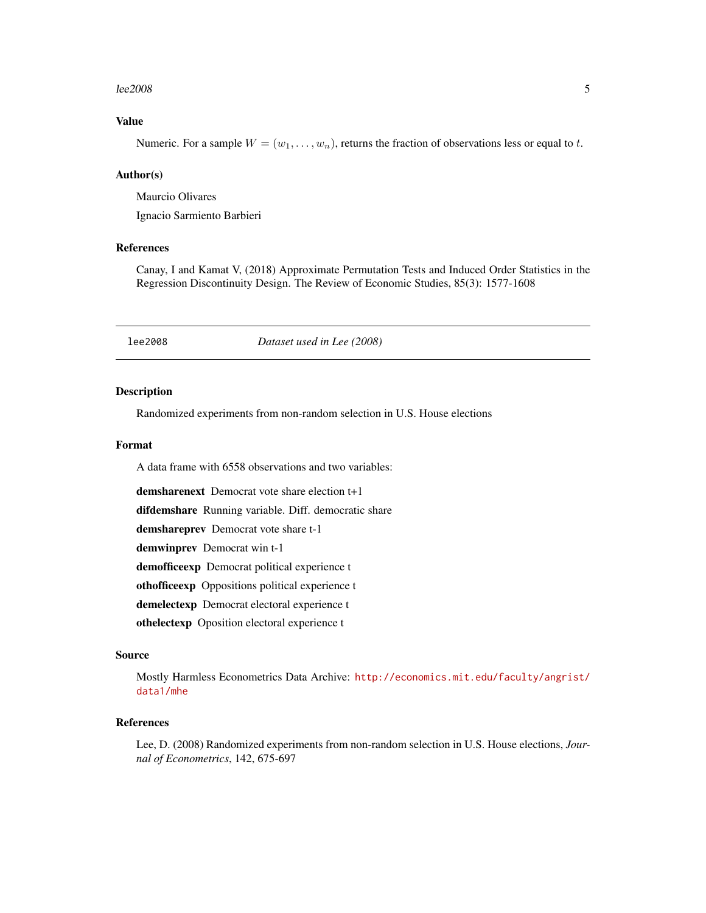#### <span id="page-4-0"></span> $lee2008$  5

#### Value

Numeric. For a sample  $W = (w_1, \ldots, w_n)$ , returns the fraction of observations less or equal to t.

#### Author(s)

Maurcio Olivares Ignacio Sarmiento Barbieri

#### References

Canay, I and Kamat V, (2018) Approximate Permutation Tests and Induced Order Statistics in the Regression Discontinuity Design. The Review of Economic Studies, 85(3): 1577-1608

lee2008 *Dataset used in Lee (2008)*

#### Description

Randomized experiments from non-random selection in U.S. House elections

#### Format

A data frame with 6558 observations and two variables:

demsharenext Democrat vote share election t+1

difdemshare Running variable. Diff. democratic share

demshareprev Democrat vote share t-1

demwinprev Democrat win t-1

demofficeexp Democrat political experience t

othofficeexp Oppositions political experience t

demelectexp Democrat electoral experience t

othelectexp Oposition electoral experience t

#### Source

Mostly Harmless Econometrics Data Archive: [http://economics.mit.edu/faculty/angrist/](http://economics.mit.edu/faculty/angrist/data1/mhe) [data1/mhe](http://economics.mit.edu/faculty/angrist/data1/mhe)

#### References

Lee, D. (2008) Randomized experiments from non-random selection in U.S. House elections, *Journal of Econometrics*, 142, 675-697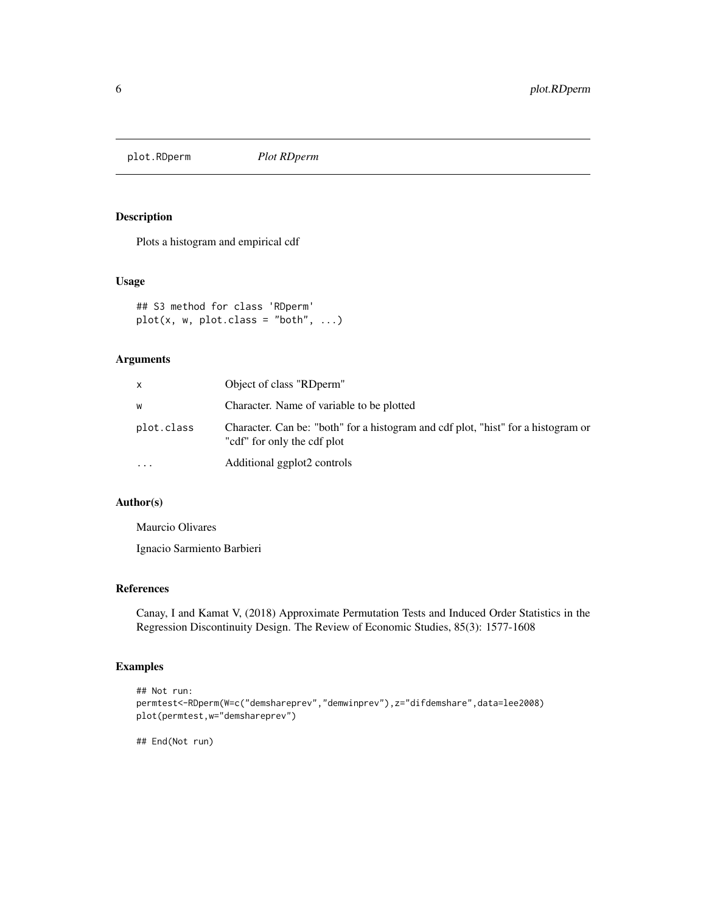<span id="page-5-0"></span>plot.RDperm *Plot RDperm*

#### Description

Plots a histogram and empirical cdf

#### Usage

```
## S3 method for class 'RDperm'
plot(x, w, plot.class = "both", ...)
```
#### Arguments

| x          | Object of class "RDperm"                                                                                         |
|------------|------------------------------------------------------------------------------------------------------------------|
| W          | Character. Name of variable to be plotted                                                                        |
| plot.class | Character. Can be: "both" for a histogram and cdf plot, "hist" for a histogram or<br>"cdf" for only the cdf plot |
| $\ddotsc$  | Additional ggplot2 controls                                                                                      |

#### Author(s)

Maurcio Olivares

Ignacio Sarmiento Barbieri

#### References

Canay, I and Kamat V, (2018) Approximate Permutation Tests and Induced Order Statistics in the Regression Discontinuity Design. The Review of Economic Studies, 85(3): 1577-1608

#### Examples

```
## Not run:
permtest<-RDperm(W=c("demshareprev","demwinprev"),z="difdemshare",data=lee2008)
plot(permtest,w="demshareprev")
```
## End(Not run)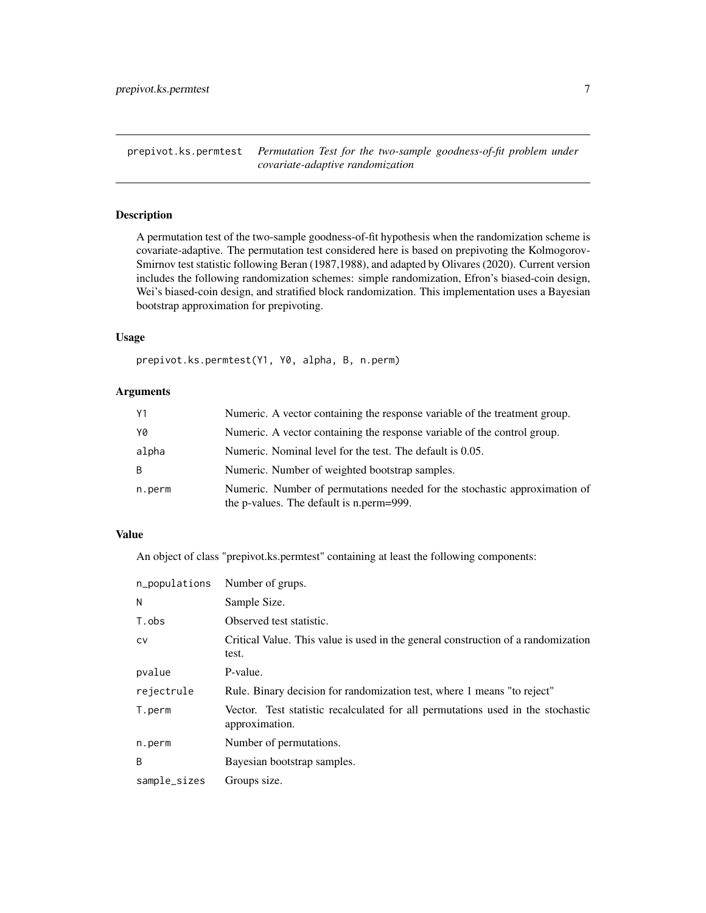<span id="page-6-1"></span><span id="page-6-0"></span>prepivot.ks.permtest *Permutation Test for the two-sample goodness-of-fit problem under covariate-adaptive randomization*

#### Description

A permutation test of the two-sample goodness-of-fit hypothesis when the randomization scheme is covariate-adaptive. The permutation test considered here is based on prepivoting the Kolmogorov-Smirnov test statistic following Beran (1987,1988), and adapted by Olivares (2020). Current version includes the following randomization schemes: simple randomization, Efron's biased-coin design, Wei's biased-coin design, and stratified block randomization. This implementation uses a Bayesian bootstrap approximation for prepivoting.

#### Usage

prepivot.ks.permtest(Y1, Y0, alpha, B, n.perm)

#### Arguments

| Y1     | Numeric. A vector containing the response variable of the treatment group.                                             |
|--------|------------------------------------------------------------------------------------------------------------------------|
| YØ     | Numeric. A vector containing the response variable of the control group.                                               |
| alpha  | Numeric. Nominal level for the test. The default is 0.05.                                                              |
| B.     | Numeric. Number of weighted bootstrap samples.                                                                         |
| n.perm | Numeric. Number of permutations needed for the stochastic approximation of<br>the p-values. The default is n.perm=999. |

#### Value

An object of class "prepivot.ks.permtest" containing at least the following components:

| n_populations | Number of grups.                                                                                  |
|---------------|---------------------------------------------------------------------------------------------------|
| N             | Sample Size.                                                                                      |
| T.obs         | Observed test statistic.                                                                          |
| <b>CV</b>     | Critical Value. This value is used in the general construction of a randomization<br>test.        |
| pvalue        | P-value.                                                                                          |
| rejectrule    | Rule. Binary decision for randomization test, where 1 means "to reject"                           |
| T.perm        | Vector. Test statistic recalculated for all permutations used in the stochastic<br>approximation. |
| n.perm        | Number of permutations.                                                                           |
| B             | Bayesian bootstrap samples.                                                                       |
| sample_sizes  | Groups size.                                                                                      |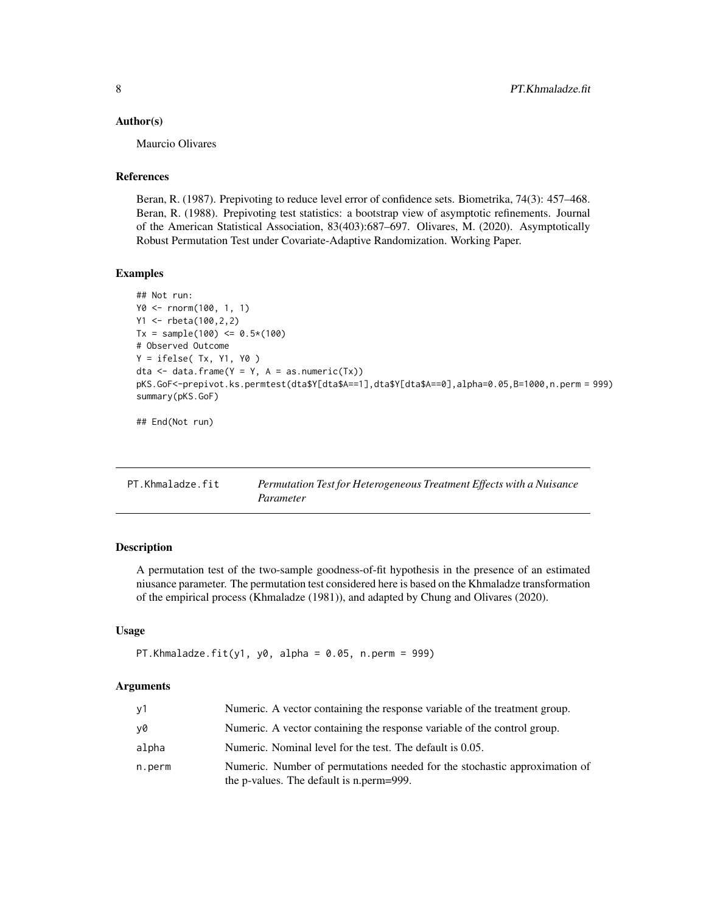#### <span id="page-7-0"></span>Author(s)

Maurcio Olivares

#### References

Beran, R. (1987). Prepivoting to reduce level error of confidence sets. Biometrika, 74(3): 457–468. Beran, R. (1988). Prepivoting test statistics: a bootstrap view of asymptotic refinements. Journal of the American Statistical Association, 83(403):687–697. Olivares, M. (2020). Asymptotically Robust Permutation Test under Covariate-Adaptive Randomization. Working Paper.

#### Examples

```
## Not run:
Y0 <- rnorm(100, 1, 1)
Y1 <- rbeta(100,2,2)
Tx = sample(100) \le 0.5*(100)# Observed Outcome
Y = ifelse( Tx, Y1, Y0 )
dta <- data.frame(Y = Y, A = as .<i>numeric</i>(Tx))pKS.GoF<-prepivot.ks.permtest(dta$Y[dta$A==1],dta$Y[dta$A==0],alpha=0.05,B=1000,n.perm = 999)
summary(pKS.GoF)
```
## End(Not run)

<span id="page-7-1"></span>

| PT.Khmaladze.fit | Permutation Test for Heterogeneous Treatment Effects with a Nuisance |
|------------------|----------------------------------------------------------------------|
|                  | Parameter                                                            |

#### Description

A permutation test of the two-sample goodness-of-fit hypothesis in the presence of an estimated niusance parameter. The permutation test considered here is based on the Khmaladze transformation of the empirical process (Khmaladze (1981)), and adapted by Chung and Olivares (2020).

#### Usage

```
PT.Khmaladze.fit(y1, y0, alpha = 0.05, n.perm = 999)
```

| ν1     | Numeric. A vector containing the response variable of the treatment group.                                             |
|--------|------------------------------------------------------------------------------------------------------------------------|
| ν0     | Numeric. A vector containing the response variable of the control group.                                               |
| alpha  | Numeric. Nominal level for the test. The default is 0.05.                                                              |
| n.perm | Numeric. Number of permutations needed for the stochastic approximation of<br>the p-values. The default is n.perm=999. |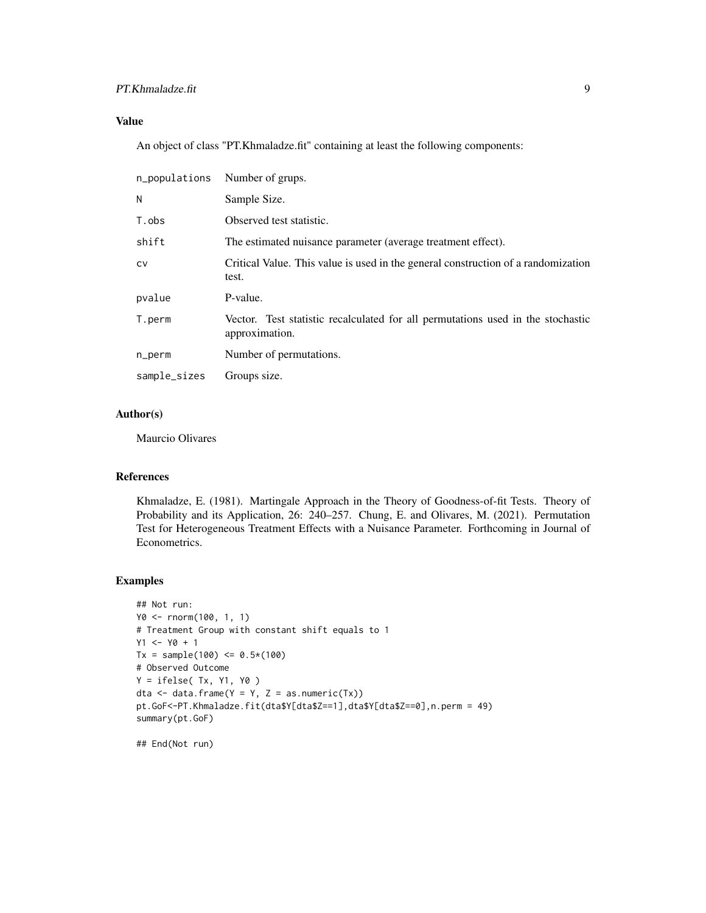#### PT.Khmaladze.fit 9

#### Value

An object of class "PT.Khmaladze.fit" containing at least the following components:

| n_populations | Number of grups.                                                                                  |
|---------------|---------------------------------------------------------------------------------------------------|
| N             | Sample Size.                                                                                      |
| T.obs         | Observed test statistic.                                                                          |
| shift         | The estimated nuisance parameter (average treatment effect).                                      |
| <b>CV</b>     | Critical Value. This value is used in the general construction of a randomization<br>test.        |
| pvalue        | P-value.                                                                                          |
| T.perm        | Vector. Test statistic recalculated for all permutations used in the stochastic<br>approximation. |
| n_perm        | Number of permutations.                                                                           |
| sample_sizes  | Groups size.                                                                                      |

#### Author(s)

Maurcio Olivares

#### References

Khmaladze, E. (1981). Martingale Approach in the Theory of Goodness-of-fit Tests. Theory of Probability and its Application, 26: 240–257. Chung, E. and Olivares, M. (2021). Permutation Test for Heterogeneous Treatment Effects with a Nuisance Parameter. Forthcoming in Journal of Econometrics.

#### Examples

```
## Not run:
Y0 <- rnorm(100, 1, 1)
# Treatment Group with constant shift equals to 1
Y1 <- Y0 + 1Tx = sample(100) \le 0.5*(100)# Observed Outcome
Y = ifelse( Tx, Y1, Y0)dta \leq data.frame(Y = Y, Z = as.numeric(Tx))
pt.GoF<-PT.Khmaladze.fit(dta$Y[dta$Z==1],dta$Y[dta$Z==0],n.perm = 49)
summary(pt.GoF)
```
## End(Not run)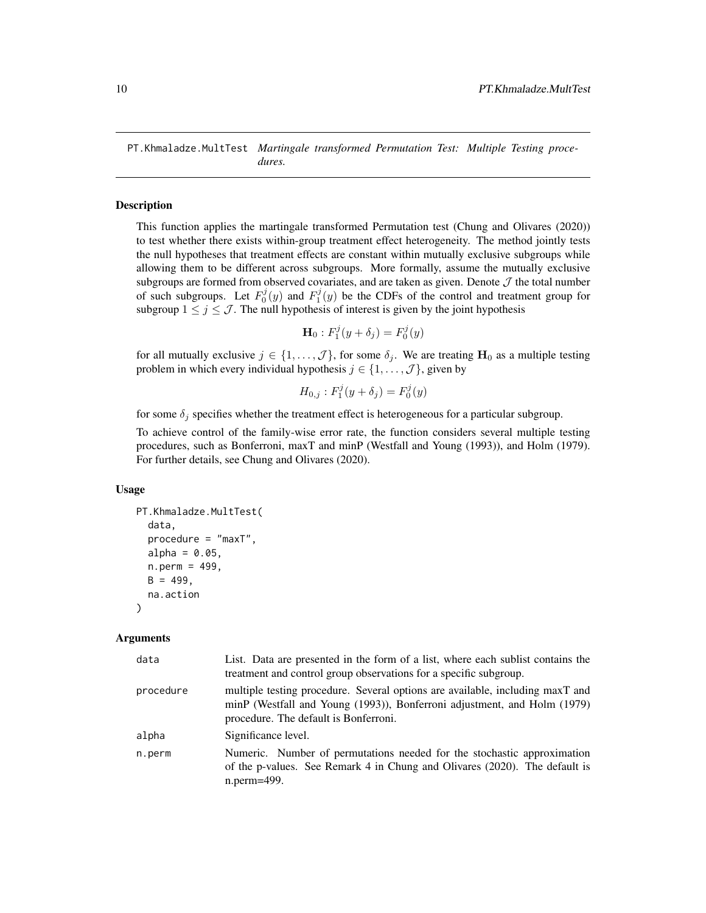<span id="page-9-1"></span><span id="page-9-0"></span>PT.Khmaladze.MultTest *Martingale transformed Permutation Test: Multiple Testing procedures.*

#### **Description**

This function applies the martingale transformed Permutation test (Chung and Olivares (2020)) to test whether there exists within-group treatment effect heterogeneity. The method jointly tests the null hypotheses that treatment effects are constant within mutually exclusive subgroups while allowing them to be different across subgroups. More formally, assume the mutually exclusive subgroups are formed from observed covariates, and are taken as given. Denote  $J$  the total number of such subgroups. Let  $F_0^j(y)$  and  $F_1^j(y)$  be the CDFs of the control and treatment group for subgroup  $1 \le j \le \mathcal{J}$ . The null hypothesis of interest is given by the joint hypothesis

$$
\mathbf{H}_0: F_1^j(y + \delta_j) = F_0^j(y)
$$

for all mutually exclusive  $j \in \{1, \ldots, \mathcal{J}\}\$ , for some  $\delta_j$ . We are treating  $H_0$  as a multiple testing problem in which every individual hypothesis  $j \in \{1, \ldots, \mathcal{J}\}\$ , given by

$$
H_{0,j} : F_1^j(y + \delta_j) = F_0^j(y)
$$

for some  $\delta_j$  specifies whether the treatment effect is heterogeneous for a particular subgroup.

To achieve control of the family-wise error rate, the function considers several multiple testing procedures, such as Bonferroni, maxT and minP (Westfall and Young (1993)), and Holm (1979). For further details, see Chung and Olivares (2020).

#### Usage

```
PT.Khmaladze.MultTest(
  data,
  procedure = "maxT",
  alpha = 0.05,
  n.perm = 499,
  B = 499,
  na.action
)
```

| data      | List. Data are presented in the form of a list, where each sublist contains the<br>treatment and control group observations for a specific subgroup.                                               |
|-----------|----------------------------------------------------------------------------------------------------------------------------------------------------------------------------------------------------|
| procedure | multiple testing procedure. Several options are available, including maxT and<br>minP (Westfall and Young (1993)), Bonferroni adjustment, and Holm (1979)<br>procedure. The default is Bonferroni. |
| alpha     | Significance level.                                                                                                                                                                                |
| n.perm    | Numeric. Number of permutations needed for the stochastic approximation<br>of the p-values. See Remark 4 in Chung and Olivares (2020). The default is<br>n.perm=499.                               |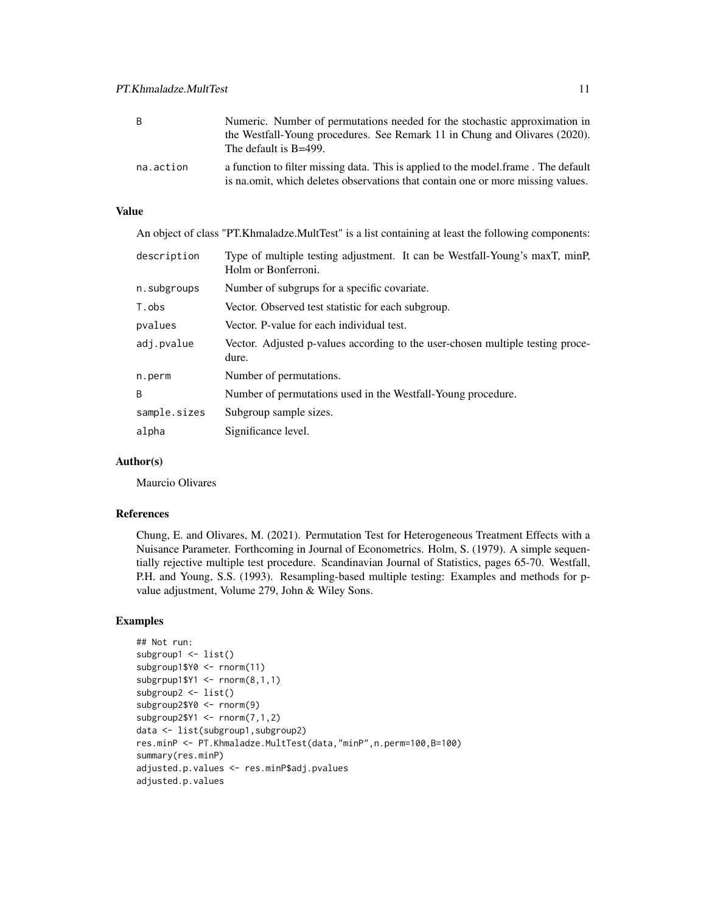| B         | Numeric. Number of permutations needed for the stochastic approximation in<br>the Westfall-Young procedures. See Remark 11 in Chung and Olivares (2020).<br>The default is B=499. |
|-----------|-----------------------------------------------------------------------------------------------------------------------------------------------------------------------------------|
| na.action | a function to filter missing data. This is applied to the model frame. The default<br>is na.omit, which deletes observations that contain one or more missing values.             |

#### Value

An object of class "PT.Khmaladze.MultTest" is a list containing at least the following components:

| description  | Type of multiple testing adjustment. It can be Westfall-Young's maxT, minP,<br>Holm or Bonferroni. |
|--------------|----------------------------------------------------------------------------------------------------|
| n.subgroups  | Number of subgrups for a specific covariate.                                                       |
| T.obs        | Vector. Observed test statistic for each subgroup.                                                 |
| pvalues      | Vector. P-value for each individual test.                                                          |
| adj.pvalue   | Vector. Adjusted p-values according to the user-chosen multiple testing proce-<br>dure.            |
| n.perm       | Number of permutations.                                                                            |
| B            | Number of permutations used in the Westfall-Young procedure.                                       |
| sample.sizes | Subgroup sample sizes.                                                                             |
| alpha        | Significance level.                                                                                |

#### Author(s)

Maurcio Olivares

#### References

Chung, E. and Olivares, M. (2021). Permutation Test for Heterogeneous Treatment Effects with a Nuisance Parameter. Forthcoming in Journal of Econometrics. Holm, S. (1979). A simple sequentially rejective multiple test procedure. Scandinavian Journal of Statistics, pages 65-70. Westfall, P.H. and Young, S.S. (1993). Resampling-based multiple testing: Examples and methods for pvalue adjustment, Volume 279, John & Wiley Sons.

#### Examples

```
## Not run:
subgroup1 <- list()
subgroup1$Y0 <- rnorm(11)
subgrpup1$Y1 <- rnorm(8,1,1)
subgroup2 <- list()
subgroup2$Y0 <- rnorm(9)
subgroup2$Y1 <- rnorm(7,1,2)
data <- list(subgroup1,subgroup2)
res.minP <- PT.Khmaladze.MultTest(data,"minP",n.perm=100,B=100)
summary(res.minP)
adjusted.p.values <- res.minP$adj.pvalues
adjusted.p.values
```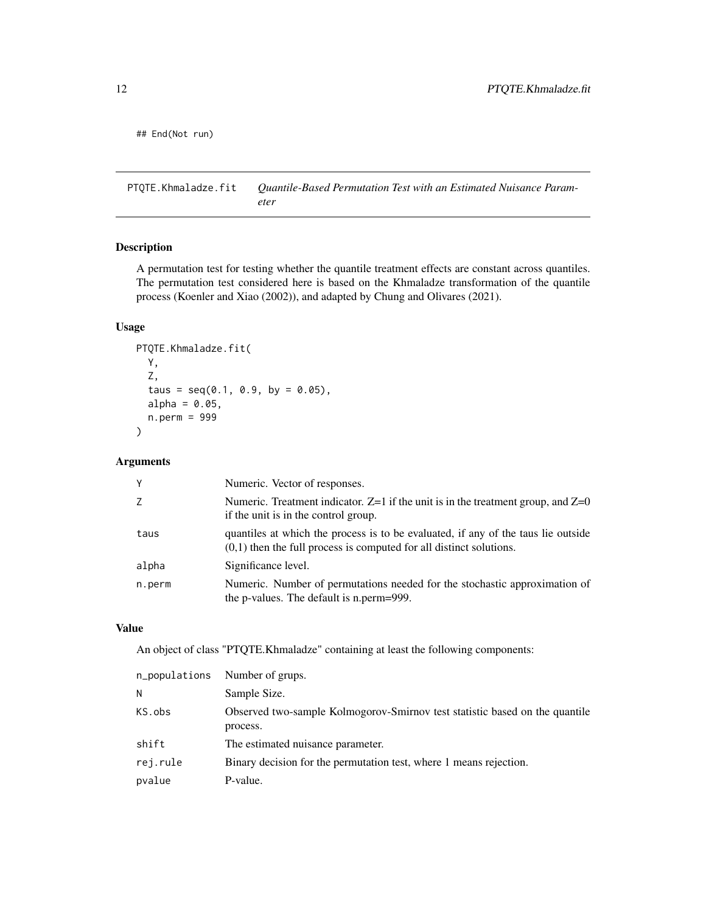<span id="page-11-0"></span>## End(Not run)

<span id="page-11-1"></span>PTQTE.Khmaladze.fit *Quantile-Based Permutation Test with an Estimated Nuisance Parameter*

#### Description

A permutation test for testing whether the quantile treatment effects are constant across quantiles. The permutation test considered here is based on the Khmaladze transformation of the quantile process (Koenler and Xiao (2002)), and adapted by Chung and Olivares (2021).

#### Usage

```
PTQTE.Khmaladze.fit(
  Y,
  Z,
  taus = seq(0.1, 0.9, by = 0.05),
  alpha = 0.05,
  n.perm = 999
)
```
#### Arguments

| Y      | Numeric. Vector of responses.                                                                                                                              |
|--------|------------------------------------------------------------------------------------------------------------------------------------------------------------|
| Z      | Numeric. Treatment indicator. $Z=1$ if the unit is in the treatment group, and $Z=0$<br>if the unit is in the control group.                               |
| taus   | quantiles at which the process is to be evaluated, if any of the taus lie outside<br>$(0,1)$ then the full process is computed for all distinct solutions. |
| alpha  | Significance level.                                                                                                                                        |
| n.perm | Numeric. Number of permutations needed for the stochastic approximation of<br>the p-values. The default is n.perm=999.                                     |

#### Value

An object of class "PTQTE.Khmaladze" containing at least the following components:

| n_populations | Number of grups.                                                                        |
|---------------|-----------------------------------------------------------------------------------------|
| N             | Sample Size.                                                                            |
| KS.obs        | Observed two-sample Kolmogorov-Smirnov test statistic based on the quantile<br>process. |
| shift         | The estimated nuisance parameter.                                                       |
| rej.rule      | Binary decision for the permutation test, where 1 means rejection.                      |
| pvalue        | P-value.                                                                                |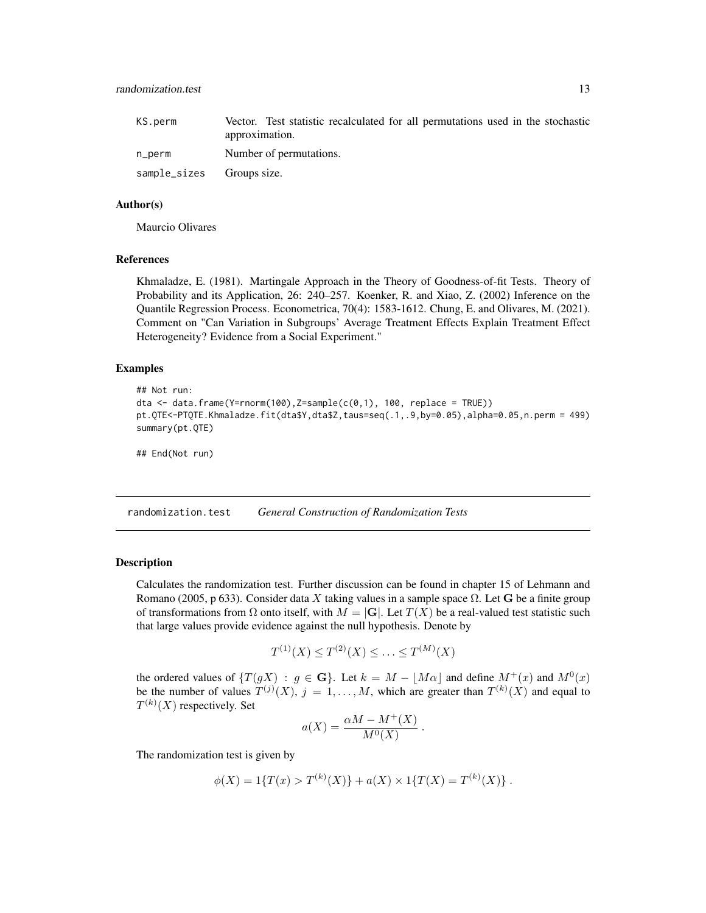<span id="page-12-0"></span>

| KS.perm                   | Vector. Test statistic recalculated for all permutations used in the stochastic |
|---------------------------|---------------------------------------------------------------------------------|
|                           | approximation.                                                                  |
| n_perm                    | Number of permutations.                                                         |
| sample_sizes Groups size. |                                                                                 |

#### Author(s)

Maurcio Olivares

#### References

Khmaladze, E. (1981). Martingale Approach in the Theory of Goodness-of-fit Tests. Theory of Probability and its Application, 26: 240–257. Koenker, R. and Xiao, Z. (2002) Inference on the Quantile Regression Process. Econometrica, 70(4): 1583-1612. Chung, E. and Olivares, M. (2021). Comment on "Can Variation in Subgroups' Average Treatment Effects Explain Treatment Effect Heterogeneity? Evidence from a Social Experiment."

#### Examples

```
## Not run:
dta <- data.frame(Y=rnorm(100),Z=sample(c(0,1), 100, replace = TRUE))
pt.QTE<-PTQTE.Khmaladze.fit(dta$Y,dta$Z,taus=seq(.1,.9,by=0.05),alpha=0.05,n.perm = 499)
summary(pt.QTE)
## End(Not run)
```
randomization.test *General Construction of Randomization Tests*

#### Description

Calculates the randomization test. Further discussion can be found in chapter 15 of Lehmann and Romano (2005, p 633). Consider data X taking values in a sample space  $\Omega$ . Let G be a finite group of transformations from  $\Omega$  onto itself, with  $M = |G|$ . Let  $T(X)$  be a real-valued test statistic such that large values provide evidence against the null hypothesis. Denote by

$$
T^{(1)}(X) \le T^{(2)}(X) \le \ldots \le T^{(M)}(X)
$$

the ordered values of  $\{T(gX) : g \in \mathbf{G}\}\$ . Let  $k = M - \lfloor M\alpha \rfloor$  and define  $M^+(x)$  and  $M^0(x)$ be the number of values  $T^{(j)}(X), j = 1, ..., M$ , which are greater than  $T^{(k)}(X)$  and equal to  $T^{(k)}(X)$  respectively. Set

$$
a(X) = \frac{\alpha M - M^+(X)}{M^0(X)}.
$$

The randomization test is given by

$$
\phi(X) = 1\{T(x) > T^{(k)}(X)\} + a(X) \times 1\{T(X) = T^{(k)}(X)\}.
$$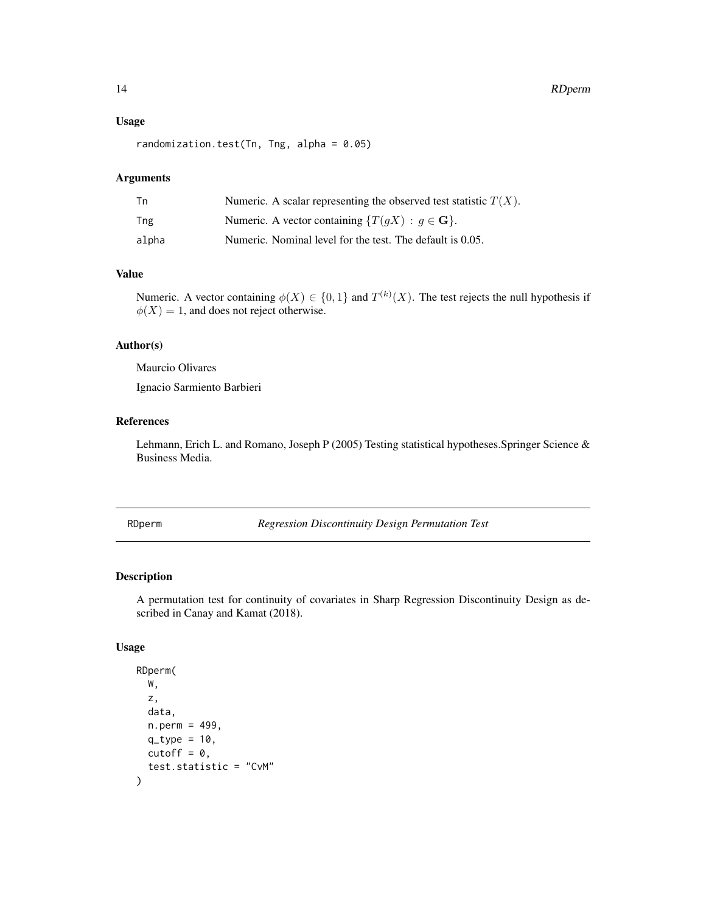#### <span id="page-13-0"></span>14 RDperm

#### Usage

randomization.test(Tn, Tng, alpha =  $0.05$ )

#### Arguments

| Tn    | Numeric. A scalar representing the observed test statistic $T(X)$ . |
|-------|---------------------------------------------------------------------|
| Tng   | Numeric. A vector containing $\{T(gX) : g \in \mathbf{G}\}.$        |
| alpha | Numeric. Nominal level for the test. The default is 0.05.           |

#### Value

Numeric. A vector containing  $\phi(X) \in \{0,1\}$  and  $T^{(k)}(X)$ . The test rejects the null hypothesis if  $\phi(X) = 1$ , and does not reject otherwise.

#### Author(s)

Maurcio Olivares

Ignacio Sarmiento Barbieri

#### References

Lehmann, Erich L. and Romano, Joseph P (2005) Testing statistical hypotheses.Springer Science & Business Media.

<span id="page-13-1"></span>RDperm *Regression Discontinuity Design Permutation Test*

#### Description

A permutation test for continuity of covariates in Sharp Regression Discontinuity Design as described in Canay and Kamat (2018).

#### Usage

```
RDperm(
  W,
  z,
  data,
  n.perm = 499,
  q_type = 10,
  cutoff = 0,
  test.statistic = "CvM"
\mathcal{E}
```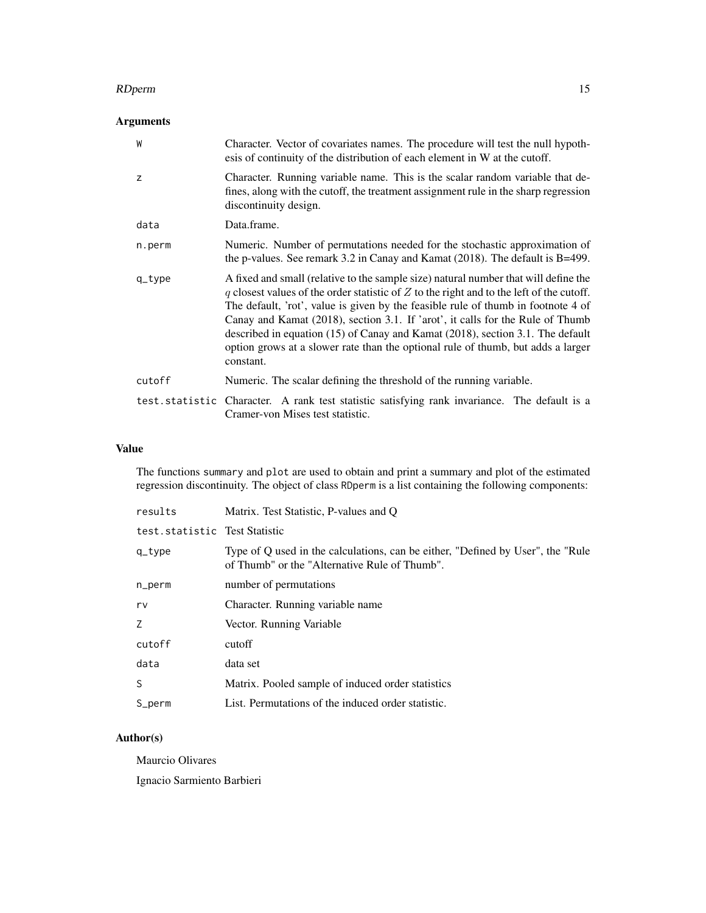#### RDperm and the state of the state of the state of the state of the state of the state of the state of the state of the state of the state of the state of the state of the state of the state of the state of the state of the

#### Arguments

| W      | Character. Vector of covariates names. The procedure will test the null hypoth-<br>esis of continuity of the distribution of each element in W at the cutoff.                                                                                                                                                                                                                                                                                                                                                                               |
|--------|---------------------------------------------------------------------------------------------------------------------------------------------------------------------------------------------------------------------------------------------------------------------------------------------------------------------------------------------------------------------------------------------------------------------------------------------------------------------------------------------------------------------------------------------|
| z      | Character. Running variable name. This is the scalar random variable that de-<br>fines, along with the cutoff, the treatment assignment rule in the sharp regression<br>discontinuity design.                                                                                                                                                                                                                                                                                                                                               |
| data   | Data.frame.                                                                                                                                                                                                                                                                                                                                                                                                                                                                                                                                 |
| n.perm | Numeric. Number of permutations needed for the stochastic approximation of<br>the p-values. See remark 3.2 in Canay and Kamat $(2018)$ . The default is B=499.                                                                                                                                                                                                                                                                                                                                                                              |
| q_type | A fixed and small (relative to the sample size) natural number that will define the<br>q closest values of the order statistic of $Z$ to the right and to the left of the cutoff.<br>The default, 'rot', value is given by the feasible rule of thumb in footnote 4 of<br>Canay and Kamat (2018), section 3.1. If 'arot', it calls for the Rule of Thumb<br>described in equation (15) of Canay and Kamat (2018), section 3.1. The default<br>option grows at a slower rate than the optional rule of thumb, but adds a larger<br>constant. |
| cutoff | Numeric. The scalar defining the threshold of the running variable.                                                                                                                                                                                                                                                                                                                                                                                                                                                                         |
|        | test.statistic Character. A rank test statistic satisfying rank invariance. The default is a<br>Cramer-von Mises test statistic.                                                                                                                                                                                                                                                                                                                                                                                                            |

#### Value

The functions summary and plot are used to obtain and print a summary and plot of the estimated regression discontinuity. The object of class RDperm is a list containing the following components:

| results                       | Matrix. Test Statistic, P-values and Q                                                                                            |
|-------------------------------|-----------------------------------------------------------------------------------------------------------------------------------|
| test.statistic Test Statistic |                                                                                                                                   |
| q_type                        | Type of Q used in the calculations, can be either, "Defined by User", the "Rule"<br>of Thumb" or the "Alternative Rule of Thumb". |
| n_perm                        | number of permutations                                                                                                            |
| rv                            | Character. Running variable name                                                                                                  |
| Z.                            | Vector. Running Variable                                                                                                          |
| cutoff                        | cutoff                                                                                                                            |
| data                          | data set                                                                                                                          |
| S.                            | Matrix. Pooled sample of induced order statistics                                                                                 |
| S_perm                        | List. Permutations of the induced order statistic.                                                                                |

#### Author(s)

Maurcio Olivares

Ignacio Sarmiento Barbieri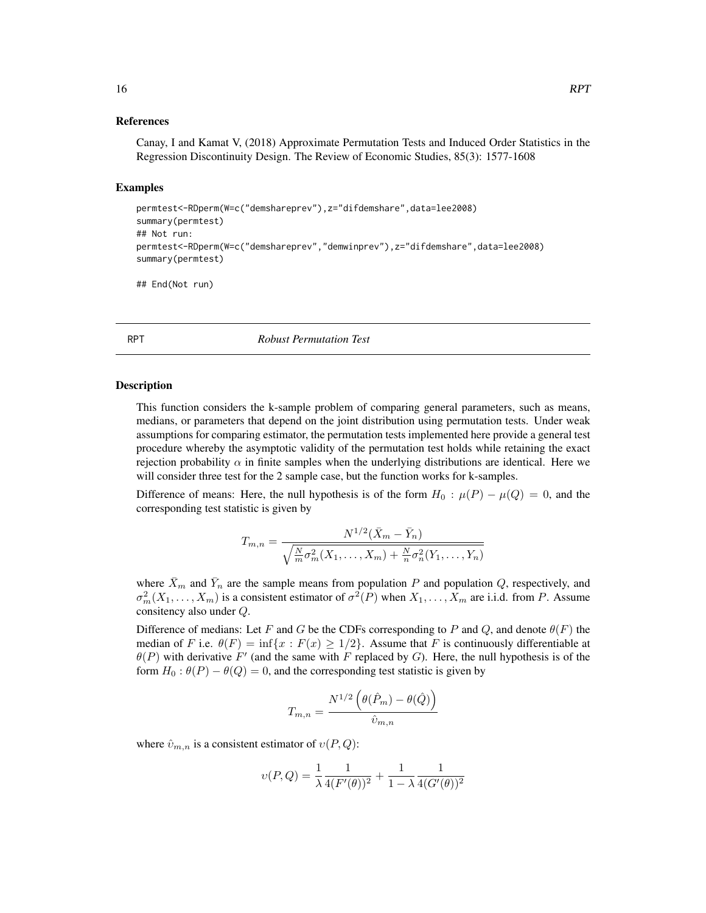## <span id="page-15-0"></span>References

Canay, I and Kamat V, (2018) Approximate Permutation Tests and Induced Order Statistics in the Regression Discontinuity Design. The Review of Economic Studies, 85(3): 1577-1608

#### Examples

```
permtest<-RDperm(W=c("demshareprev"),z="difdemshare",data=lee2008)
summary(permtest)
## Not run:
permtest<-RDperm(W=c("demshareprev","demwinprev"),z="difdemshare",data=lee2008)
summary(permtest)
```
## End(Not run)

<span id="page-15-1"></span>RPT *Robust Permutation Test*

#### Description

This function considers the k-sample problem of comparing general parameters, such as means, medians, or parameters that depend on the joint distribution using permutation tests. Under weak assumptions for comparing estimator, the permutation tests implemented here provide a general test procedure whereby the asymptotic validity of the permutation test holds while retaining the exact rejection probability  $\alpha$  in finite samples when the underlying distributions are identical. Here we will consider three test for the 2 sample case, but the function works for k-samples.

Difference of means: Here, the null hypothesis is of the form  $H_0$ :  $\mu(P) - \mu(Q) = 0$ , and the corresponding test statistic is given by

$$
T_{m,n} = \frac{N^{1/2}(\bar{X}_m - \bar{Y}_n)}{\sqrt{\frac{N}{m}\sigma_m^2(X_1,\ldots,X_m) + \frac{N}{n}\sigma_n^2(Y_1,\ldots,Y_n)}}
$$

where  $\bar{X}_m$  and  $\bar{Y}_n$  are the sample means from population P and population Q, respectively, and  $\sigma_m^2(X_1,\ldots,X_m)$  is a consistent estimator of  $\sigma^2(P)$  when  $X_1,\ldots,X_m$  are i.i.d. from P. Assume consitency also under Q.

Difference of medians: Let F and G be the CDFs corresponding to P and Q, and denote  $\theta(F)$  the median of F i.e.  $\theta(F) = \inf\{x : F(x) \ge 1/2\}$ . Assume that F is continuously differentiable at  $\theta(P)$  with derivative F' (and the same with F replaced by G). Here, the null hypothesis is of the form  $H_0$ :  $\theta(P) - \theta(Q) = 0$ , and the corresponding test statistic is given by

$$
T_{m,n} = \frac{N^{1/2} \left( \theta(\hat{P}_m) - \theta(\hat{Q}) \right)}{\hat{v}_{m,n}}
$$

where  $\hat{v}_{m,n}$  is a consistent estimator of  $v(P,Q)$ :

$$
\upsilon(P,Q) = \frac{1}{\lambda} \frac{1}{4(F'(\theta))^2} + \frac{1}{1-\lambda} \frac{1}{4(G'(\theta))^2}
$$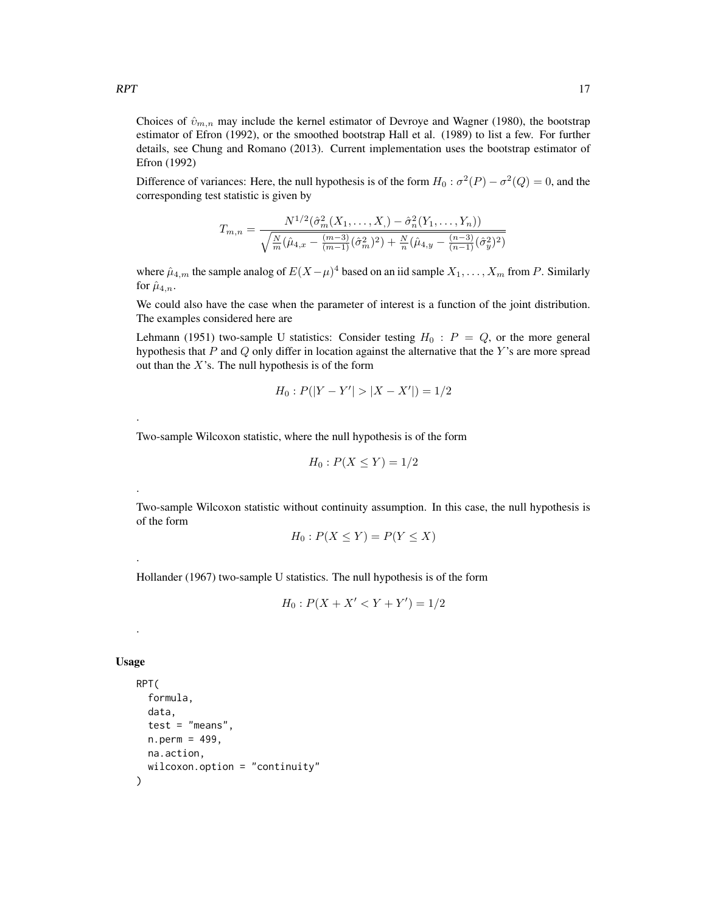Choices of  $\hat{v}_{m,n}$  may include the kernel estimator of Devroye and Wagner (1980), the bootstrap estimator of Efron (1992), or the smoothed bootstrap Hall et al. (1989) to list a few. For further details, see Chung and Romano (2013). Current implementation uses the bootstrap estimator of Efron (1992)

Difference of variances: Here, the null hypothesis is of the form  $H_0$ :  $\sigma^2(P) - \sigma^2(Q) = 0$ , and the corresponding test statistic is given by

$$
T_{m,n} = \frac{N^{1/2}(\hat{\sigma}_m^2(X_1,\ldots,X_n) - \hat{\sigma}_n^2(Y_1,\ldots,Y_n))}{\sqrt{\frac{N}{m}(\hat{\mu}_{4,x} - \frac{(m-3)}{(m-1)}(\hat{\sigma}_m^2)^2) + \frac{N}{n}(\hat{\mu}_{4,y} - \frac{(n-3)}{(n-1)}(\hat{\sigma}_y^2)^2)}}
$$

where  $\hat{\mu}_{4,m}$  the sample analog of  $E(X-\mu)^4$  based on an iid sample  $X_1, \ldots, X_m$  from P. Similarly for  $\hat{\mu}_{4,n}$ .

We could also have the case when the parameter of interest is a function of the joint distribution. The examples considered here are

Lehmann (1951) two-sample U statistics: Consider testing  $H_0$ :  $P = Q$ , or the more general hypothesis that  $P$  and  $Q$  only differ in location against the alternative that the  $Y$ 's are more spread out than the  $X$ 's. The null hypothesis is of the form

$$
H_0: P(|Y - Y'| > |X - X'|) = 1/2
$$

Two-sample Wilcoxon statistic, where the null hypothesis is of the form

$$
H_0: P(X \le Y) = 1/2
$$

Two-sample Wilcoxon statistic without continuity assumption. In this case, the null hypothesis is of the form

$$
H_0: P(X \le Y) = P(Y \le X)
$$

Hollander (1967) two-sample U statistics. The null hypothesis is of the form

$$
H_0: P(X + X' < Y + Y') = \frac{1}{2}
$$

#### Usage

.

.

.

.

```
RPT(
  formula,
  data,
  test = "means",n.perm = 499,
 na.action,
  wilcoxon.option = "continuity"
)
```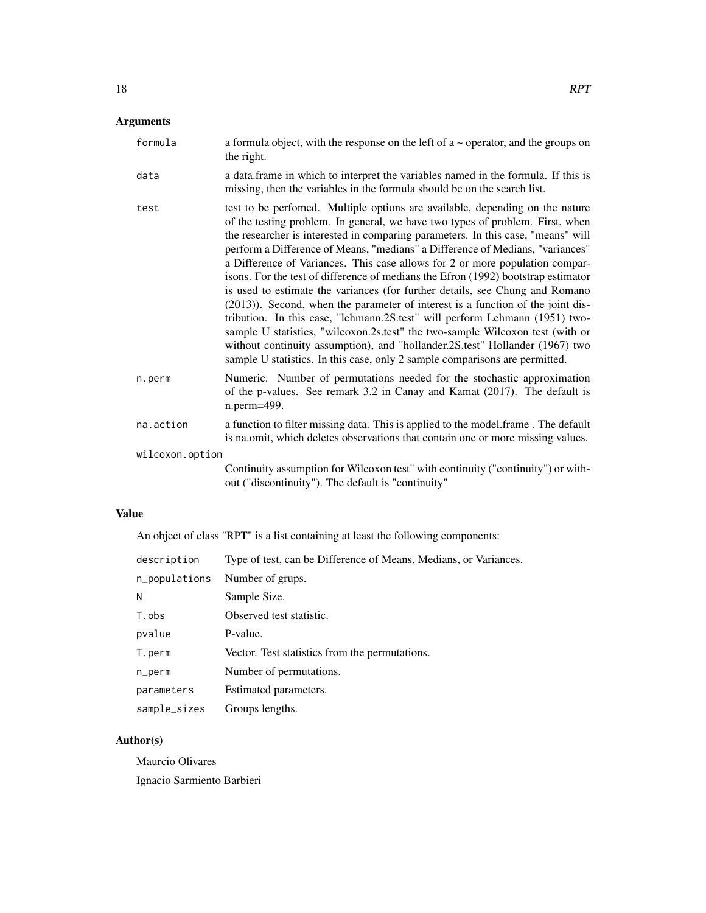## Arguments

| formula         | a formula object, with the response on the left of $a \sim$ operator, and the groups on<br>the right.                                                                                                                                                                                                                                                                                                                                                                                                                                                                                                                                                                                                                                                                                                                                                                                                                                                                                                     |
|-----------------|-----------------------------------------------------------------------------------------------------------------------------------------------------------------------------------------------------------------------------------------------------------------------------------------------------------------------------------------------------------------------------------------------------------------------------------------------------------------------------------------------------------------------------------------------------------------------------------------------------------------------------------------------------------------------------------------------------------------------------------------------------------------------------------------------------------------------------------------------------------------------------------------------------------------------------------------------------------------------------------------------------------|
| data            | a data frame in which to interpret the variables named in the formula. If this is<br>missing, then the variables in the formula should be on the search list.                                                                                                                                                                                                                                                                                                                                                                                                                                                                                                                                                                                                                                                                                                                                                                                                                                             |
| test            | test to be perfomed. Multiple options are available, depending on the nature<br>of the testing problem. In general, we have two types of problem. First, when<br>the researcher is interested in comparing parameters. In this case, "means" will<br>perform a Difference of Means, "medians" a Difference of Medians, "variances"<br>a Difference of Variances. This case allows for 2 or more population compar-<br>isons. For the test of difference of medians the Efron (1992) bootstrap estimator<br>is used to estimate the variances (for further details, see Chung and Romano<br>(2013)). Second, when the parameter of interest is a function of the joint dis-<br>tribution. In this case, "lehmann.2S.test" will perform Lehmann (1951) two-<br>sample U statistics, "wilcoxon.2s.test" the two-sample Wilcoxon test (with or<br>without continuity assumption), and "hollander.2S.test" Hollander (1967) two<br>sample U statistics. In this case, only 2 sample comparisons are permitted. |
| n.perm          | Numeric. Number of permutations needed for the stochastic approximation<br>of the p-values. See remark 3.2 in Canay and Kamat (2017). The default is<br>n.perm=499.                                                                                                                                                                                                                                                                                                                                                                                                                                                                                                                                                                                                                                                                                                                                                                                                                                       |
| na.action       | a function to filter missing data. This is applied to the model frame. The default<br>is na.omit, which deletes observations that contain one or more missing values.                                                                                                                                                                                                                                                                                                                                                                                                                                                                                                                                                                                                                                                                                                                                                                                                                                     |
| wilcoxon.option |                                                                                                                                                                                                                                                                                                                                                                                                                                                                                                                                                                                                                                                                                                                                                                                                                                                                                                                                                                                                           |
|                 | Continuity assumption for Wilcoxon test" with continuity ("continuity") or with-<br>out ("discontinuity"). The default is "continuity"                                                                                                                                                                                                                                                                                                                                                                                                                                                                                                                                                                                                                                                                                                                                                                                                                                                                    |

#### Value

An object of class "RPT" is a list containing at least the following components:

| description   | Type of test, can be Difference of Means, Medians, or Variances. |
|---------------|------------------------------------------------------------------|
| n_populations | Number of grups.                                                 |
| N             | Sample Size.                                                     |
| T.obs         | Observed test statistic.                                         |
| pvalue        | P-value.                                                         |
| T.perm        | Vector. Test statistics from the permutations.                   |
| n_perm        | Number of permutations.                                          |
| parameters    | Estimated parameters.                                            |
| sample_sizes  | Groups lengths.                                                  |

#### Author(s)

Maurcio Olivares Ignacio Sarmiento Barbieri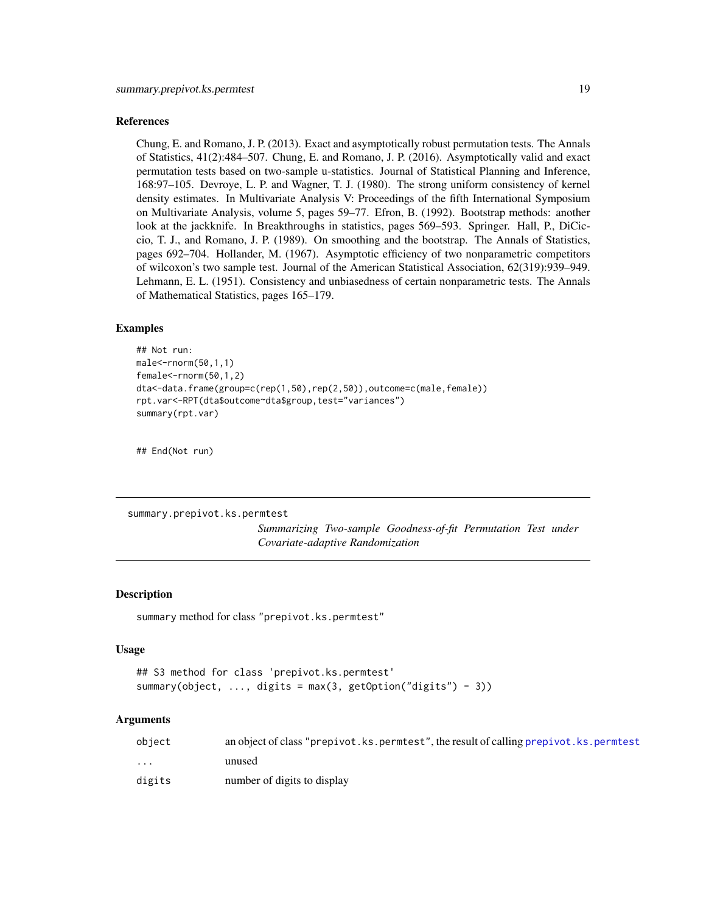#### <span id="page-18-0"></span>References

Chung, E. and Romano, J. P. (2013). Exact and asymptotically robust permutation tests. The Annals of Statistics, 41(2):484–507. Chung, E. and Romano, J. P. (2016). Asymptotically valid and exact permutation tests based on two-sample u-statistics. Journal of Statistical Planning and Inference, 168:97–105. Devroye, L. P. and Wagner, T. J. (1980). The strong uniform consistency of kernel density estimates. In Multivariate Analysis V: Proceedings of the fifth International Symposium on Multivariate Analysis, volume 5, pages 59–77. Efron, B. (1992). Bootstrap methods: another look at the jackknife. In Breakthroughs in statistics, pages 569–593. Springer. Hall, P., DiCiccio, T. J., and Romano, J. P. (1989). On smoothing and the bootstrap. The Annals of Statistics, pages 692–704. Hollander, M. (1967). Asymptotic efficiency of two nonparametric competitors of wilcoxon's two sample test. Journal of the American Statistical Association, 62(319):939–949. Lehmann, E. L. (1951). Consistency and unbiasedness of certain nonparametric tests. The Annals of Mathematical Statistics, pages 165–179.

#### Examples

```
## Not run:
male<-rnorm(50,1,1)
female<-rnorm(50,1,2)
dta<-data.frame(group=c(rep(1,50),rep(2,50)),outcome=c(male,female))
rpt.var<-RPT(dta$outcome~dta$group,test="variances")
summary(rpt.var)
```
## End(Not run)

summary.prepivot.ks.permtest

*Summarizing Two-sample Goodness-of-fit Permutation Test under Covariate-adaptive Randomization*

#### Description

```
summary method for class "prepivot.ks.permtest"
```
#### Usage

```
## S3 method for class 'prepivot.ks.permtest'
summary(object, ..., digits = max(3, getOption("digits") - 3))
```

| object                  | an object of class "prepivot.ks.permtest", the result of calling prepivot.ks.permtest |
|-------------------------|---------------------------------------------------------------------------------------|
| $\cdot$ $\cdot$ $\cdot$ | unused                                                                                |
| digits                  | number of digits to display                                                           |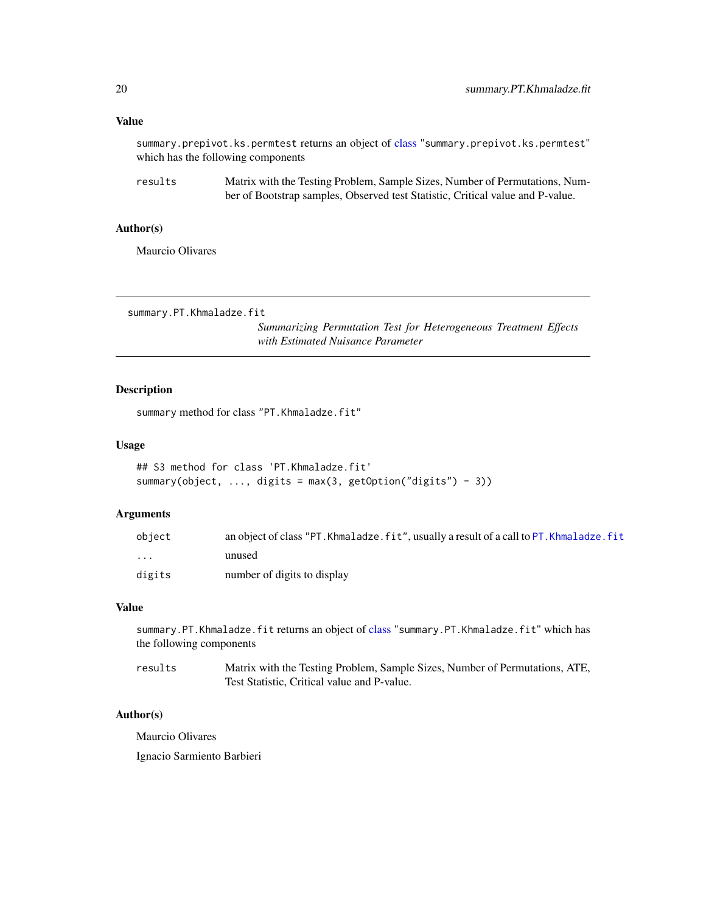#### <span id="page-19-0"></span>Value

summary.prepivot.ks.permtest returns an object of [class](#page-0-0) "summary.prepivot.ks.permtest" which has the following components

results Matrix with the Testing Problem, Sample Sizes, Number of Permutations, Number of Bootstrap samples, Observed test Statistic, Critical value and P-value.

#### Author(s)

Maurcio Olivares

summary.PT.Khmaladze.fit

*Summarizing Permutation Test for Heterogeneous Treatment Effects with Estimated Nuisance Parameter*

#### Description

summary method for class "PT.Khmaladze.fit"

#### Usage

```
## S3 method for class 'PT.Khmaladze.fit'
summary(object, ..., digits = max(3, getOption("digits") - 3))
```
#### Arguments

| object                  | an object of class "PT. Khmaladze. fit", usually a result of a call to PT. Khmaladze. fit |
|-------------------------|-------------------------------------------------------------------------------------------|
| $\cdot$ $\cdot$ $\cdot$ | unused                                                                                    |
| digits                  | number of digits to display                                                               |

#### Value

summary.PT.Khmaladze.fit returns an object of [class](#page-0-0) "summary.PT.Khmaladze.fit" which has the following components

| results | Matrix with the Testing Problem, Sample Sizes, Number of Permutations, ATE, |
|---------|-----------------------------------------------------------------------------|
|         | Test Statistic, Critical value and P-value.                                 |

#### Author(s)

Maurcio Olivares

Ignacio Sarmiento Barbieri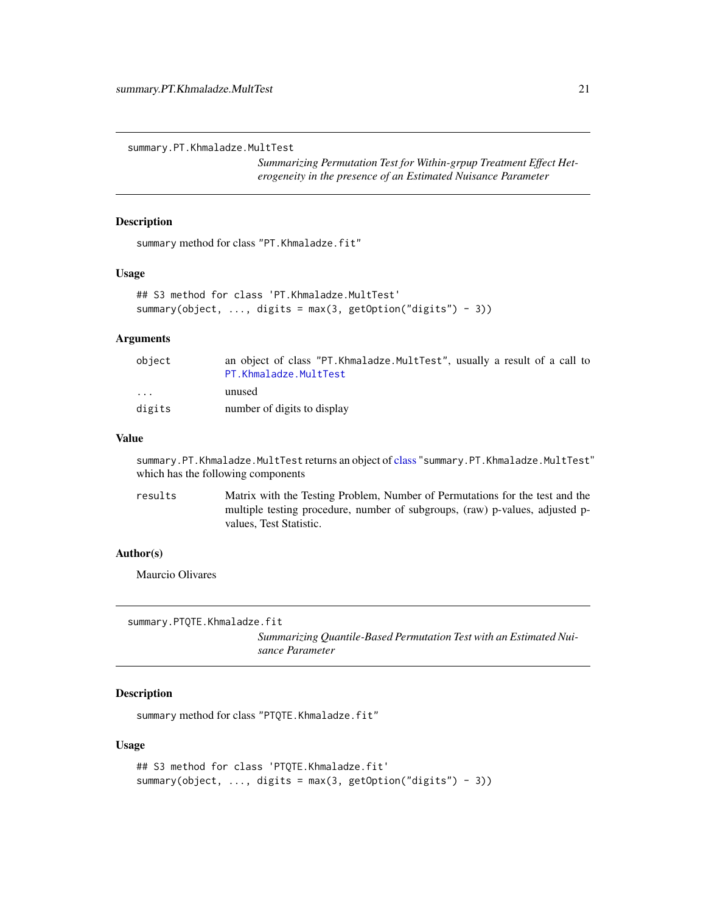<span id="page-20-0"></span>summary.PT.Khmaladze.MultTest

*Summarizing Permutation Test for Within-grpup Treatment Effect Heterogeneity in the presence of an Estimated Nuisance Parameter*

#### Description

summary method for class "PT.Khmaladze.fit"

#### Usage

```
## S3 method for class 'PT.Khmaladze.MultTest'
summary(object, ..., digits = max(3, getOption("digits") - 3))
```
#### Arguments

| object                  | an object of class "PT. Khmaladze. MultTest", usually a result of a call to |
|-------------------------|-----------------------------------------------------------------------------|
|                         | PT.Khmaladze.MultTest                                                       |
| $\cdot$ $\cdot$ $\cdot$ | unused                                                                      |
| digits                  | number of digits to display                                                 |

#### Value

summary.PT.Khmaladze.MultTest returns an object of [class](#page-0-0) "summary.PT.Khmaladze.MultTest" which has the following components

results Matrix with the Testing Problem, Number of Permutations for the test and the multiple testing procedure, number of subgroups, (raw) p-values, adjusted pvalues, Test Statistic.

#### Author(s)

Maurcio Olivares

```
summary.PTQTE.Khmaladze.fit
```
*Summarizing Quantile-Based Permutation Test with an Estimated Nuisance Parameter*

#### Description

summary method for class "PTQTE.Khmaladze.fit"

#### Usage

```
## S3 method for class 'PTQTE.Khmaladze.fit'
summary(object, ..., digits = max(3, getOption("digits") - 3))
```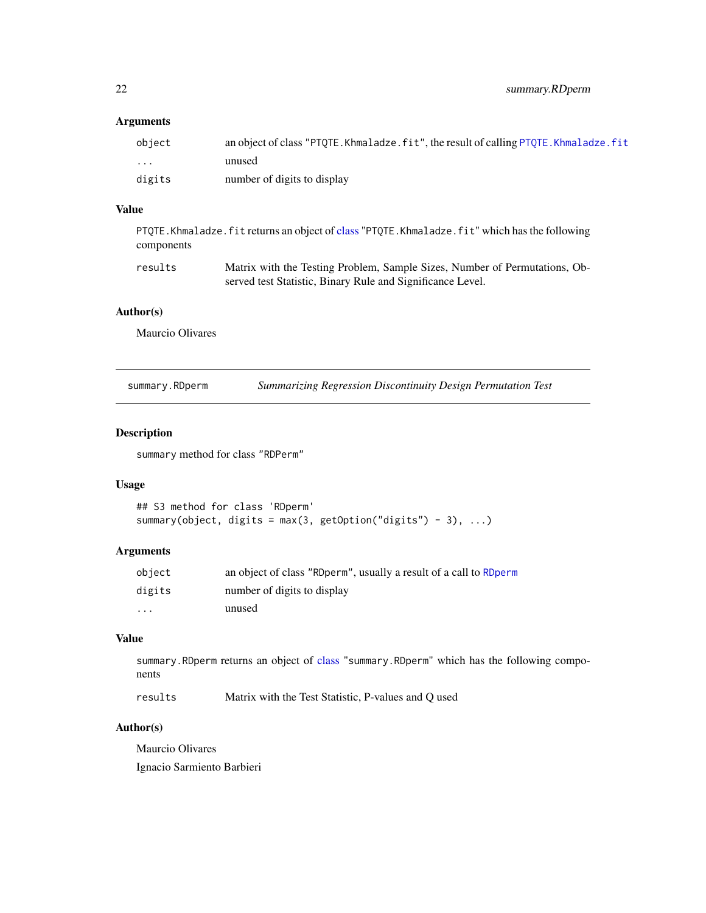#### <span id="page-21-0"></span>Arguments

| object | an object of class "PTOTE. Khmaladze. fit", the result of calling PTOTE. Khmaladze. fit |
|--------|-----------------------------------------------------------------------------------------|
| .      | unused                                                                                  |
| digits | number of digits to display                                                             |

#### Value

PTQTE.Khmaladze.fit returns an object of [class](#page-0-0) "PTQTE.Khmaladze.fit" which has the following components

results Matrix with the Testing Problem, Sample Sizes, Number of Permutations, Observed test Statistic, Binary Rule and Significance Level.

#### Author(s)

Maurcio Olivares

summary.RDperm *Summarizing Regression Discontinuity Design Permutation Test*

#### Description

summary method for class "RDPerm"

#### Usage

```
## S3 method for class 'RDperm'
summary(object, digits = max(3, getOption("digits") - 3), \dots)
```
#### Arguments

| obiect  | an object of class "RDperm", usually a result of a call to RDperm |
|---------|-------------------------------------------------------------------|
| digits  | number of digits to display                                       |
| $\cdot$ | unused                                                            |

#### Value

summary.RDperm returns an object of [class](#page-0-0) "summary.RDperm" which has the following components

results Matrix with the Test Statistic, P-values and Q used

#### Author(s)

Maurcio Olivares Ignacio Sarmiento Barbieri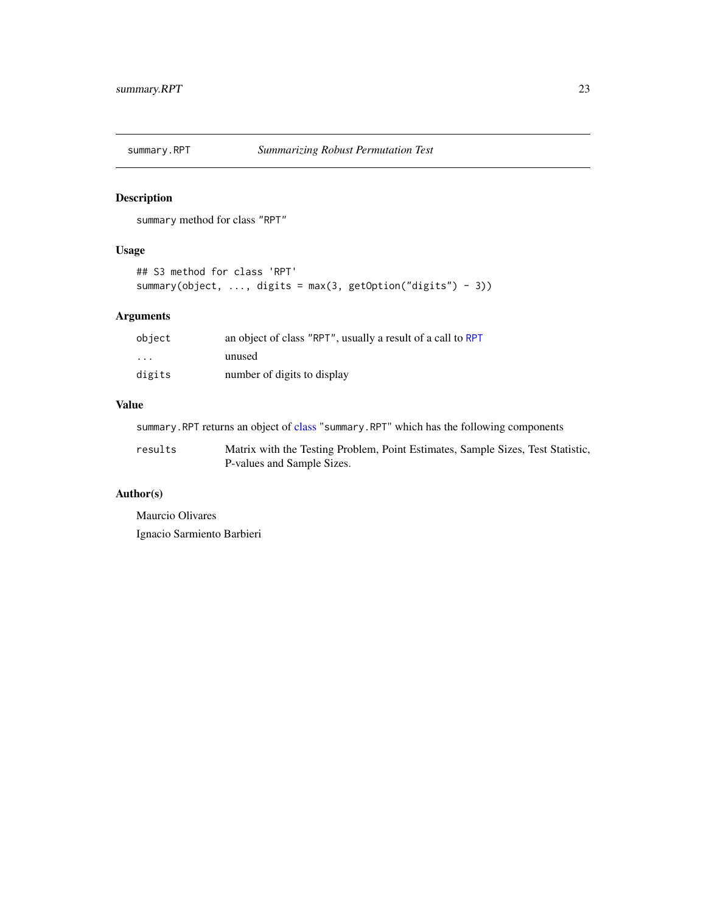<span id="page-22-0"></span>

#### Description

summary method for class "RPT"

#### Usage

```
## S3 method for class 'RPT'
summary(object, ..., digits = max(3, getOption("digits") - 3))
```
#### Arguments

| object            | an object of class "RPT", usually a result of a call to RPT |
|-------------------|-------------------------------------------------------------|
| $\cdot\cdot\cdot$ | unused                                                      |
| digits            | number of digits to display                                 |

#### Value

summary.RPT returns an object of [class](#page-0-0) "summary.RPT" which has the following components

| results | Matrix with the Testing Problem, Point Estimates, Sample Sizes, Test Statistic, |
|---------|---------------------------------------------------------------------------------|
|         | P-values and Sample Sizes.                                                      |

#### Author(s)

Maurcio Olivares Ignacio Sarmiento Barbieri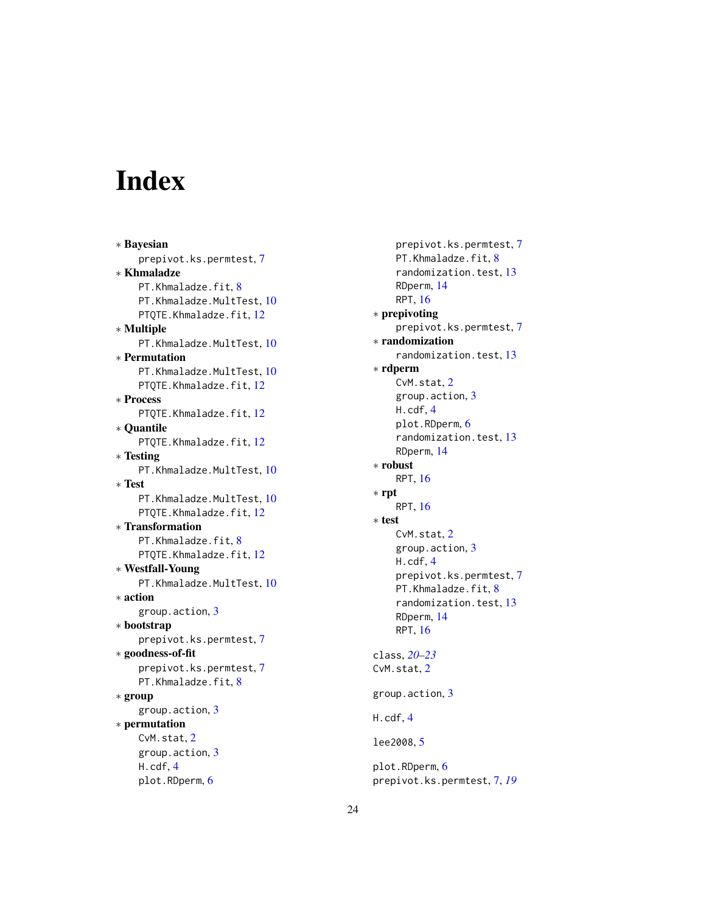# <span id="page-23-0"></span>Index

∗ Bayesian prepivot.ks.permtest , [7](#page-6-0) ∗ Khmaladze PT.Khmaladze.fit, [8](#page-7-0) PT.Khmaladze.MultTest, [10](#page-9-0) PTQTE.Khmaladze.fit,[12](#page-11-0) ∗ Multiple PT.Khmaladze.MultTest, [10](#page-9-0) ∗ Permutation PT.Khmaladze.MultTest,  $10\,$  $10\,$ PTQTE.Khmaladze.fit, [12](#page-11-0) ∗ Process PTQTE.Khmaladze.fit, [12](#page-11-0) ∗ Quantile PTQTE.Khmaladze.fit,[12](#page-11-0) ∗ Testing PT.Khmaladze.MultTest,  $10\,$  $10\,$ ∗ Test PT.Khmaladze.MultTest, [10](#page-9-0) PTQTE.Khmaladze.fit,[12](#page-11-0) ∗ Transformation PT.Khmaladze.fit, [8](#page-7-0) PTQTE.Khmaladze.fit,[12](#page-11-0) ∗ Westfall-Young PT.Khmaladze.MultTest,  $10\,$  $10\,$ ∗ action group.action , [3](#page-2-0) ∗ bootstrap prepivot.ks.permtest , [7](#page-6-0) ∗ goodness-of-fit prepivot.ks.permtest , [7](#page-6-0) PT.Khmaladze.fit, [8](#page-7-0) ∗ group group.action , [3](#page-2-0) ∗ permutation CvM.stat, [2](#page-1-0) group.action , [3](#page-2-0) H.cdf , [4](#page-3-0) plot.RDperm, <mark>[6](#page-5-0)</mark>

prepivot.ks.permtest , [7](#page-6-0) PT.Khmaladze.fit , [8](#page-7-0) randomization.test , [13](#page-12-0) RDperm , [14](#page-13-0) RPT , [16](#page-15-0) ∗ prepivoting prepivot.ks.permtest , [7](#page-6-0) ∗ randomization randomization.test , [13](#page-12-0) ∗ rdperm CvM.stat, [2](#page-1-0) group.action , [3](#page-2-0) H.cdf , [4](#page-3-0) plot.RDperm, <mark>[6](#page-5-0)</mark> randomization.test , [13](#page-12-0) RDperm , [14](#page-13-0) ∗ robust RPT , [16](#page-15-0) ∗ rpt RPT , [16](#page-15-0) ∗ test CvM.stat, [2](#page-1-0) group.action , [3](#page-2-0) H.cdf , [4](#page-3-0) prepivot.ks.permtest , [7](#page-6-0) PT.Khmaladze.fit , [8](#page-7-0) randomization.test , [13](#page-12-0) RDperm , [14](#page-13-0) RPT , [16](#page-15-0) class , *[20](#page-19-0)[–23](#page-22-0)* CvM.stat, [2](#page-1-0) group.action , [3](#page-2-0) H.cdf , [4](#page-3-0) lee2008, [5](#page-4-0) plot.RDperm, <mark>[6](#page-5-0)</mark>

prepivot.ks.permtest , [7](#page-6-0) , *[19](#page-18-0)*